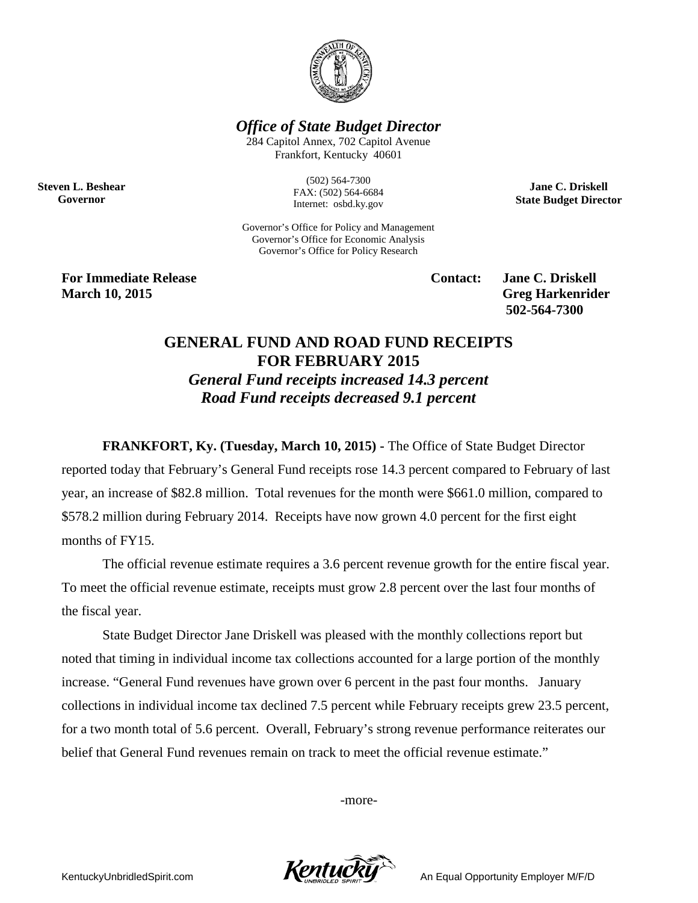

*Office of State Budget Director*

284 Capitol Annex, 702 Capitol Avenue Frankfort, Kentucky 40601

**Steven L. Beshear Governor**

(502) 564-7300 FAX: (502) 564-6684 Internet: osbd.ky.gov

Governor's Office for Policy and Management Governor's Office for Economic Analysis Governor's Office for Policy Research

**For Immediate Release Contact: Jane C. Driskell March 10, 2015 Greg Harkenrider**

**502-564-7300** 

**Jane C. Driskell State Budget Director**

## **GENERAL FUND AND ROAD FUND RECEIPTS FOR FEBRUARY 2015**

*General Fund receipts increased 14.3 percent Road Fund receipts decreased 9.1 percent*

**FRANKFORT, Ky. (Tuesday, March 10, 2015) -** The Office of State Budget Director

reported today that February's General Fund receipts rose 14.3 percent compared to February of last year, an increase of \$82.8 million. Total revenues for the month were \$661.0 million, compared to \$578.2 million during February 2014. Receipts have now grown 4.0 percent for the first eight months of FY15.

The official revenue estimate requires a 3.6 percent revenue growth for the entire fiscal year. To meet the official revenue estimate, receipts must grow 2.8 percent over the last four months of the fiscal year.

State Budget Director Jane Driskell was pleased with the monthly collections report but noted that timing in individual income tax collections accounted for a large portion of the monthly increase. "General Fund revenues have grown over 6 percent in the past four months. January collections in individual income tax declined 7.5 percent while February receipts grew 23.5 percent, for a two month total of 5.6 percent. Overall, February's strong revenue performance reiterates our belief that General Fund revenues remain on track to meet the official revenue estimate."

-more-

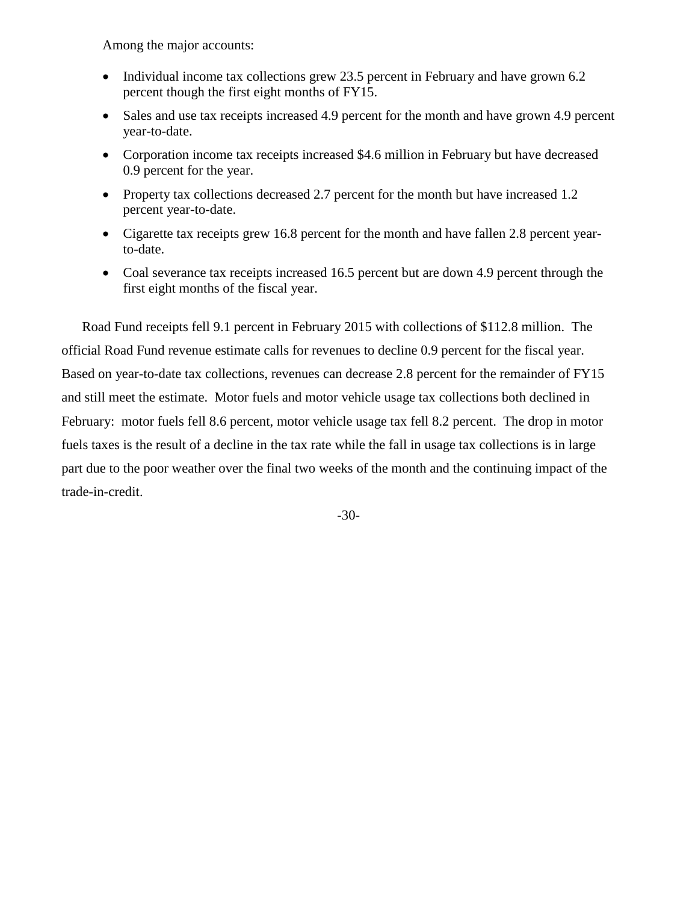Among the major accounts:

- Individual income tax collections grew 23.5 percent in February and have grown 6.2 percent though the first eight months of FY15.
- Sales and use tax receipts increased 4.9 percent for the month and have grown 4.9 percent year-to-date.
- Corporation income tax receipts increased \$4.6 million in February but have decreased 0.9 percent for the year.
- Property tax collections decreased 2.7 percent for the month but have increased 1.2 percent year-to-date.
- Cigarette tax receipts grew 16.8 percent for the month and have fallen 2.8 percent yearto-date.
- Coal severance tax receipts increased 16.5 percent but are down 4.9 percent through the first eight months of the fiscal year.

Road Fund receipts fell 9.1 percent in February 2015 with collections of \$112.8 million. The official Road Fund revenue estimate calls for revenues to decline 0.9 percent for the fiscal year. Based on year-to-date tax collections, revenues can decrease 2.8 percent for the remainder of FY15 and still meet the estimate. Motor fuels and motor vehicle usage tax collections both declined in February: motor fuels fell 8.6 percent, motor vehicle usage tax fell 8.2 percent. The drop in motor fuels taxes is the result of a decline in the tax rate while the fall in usage tax collections is in large part due to the poor weather over the final two weeks of the month and the continuing impact of the trade-in-credit.

-30-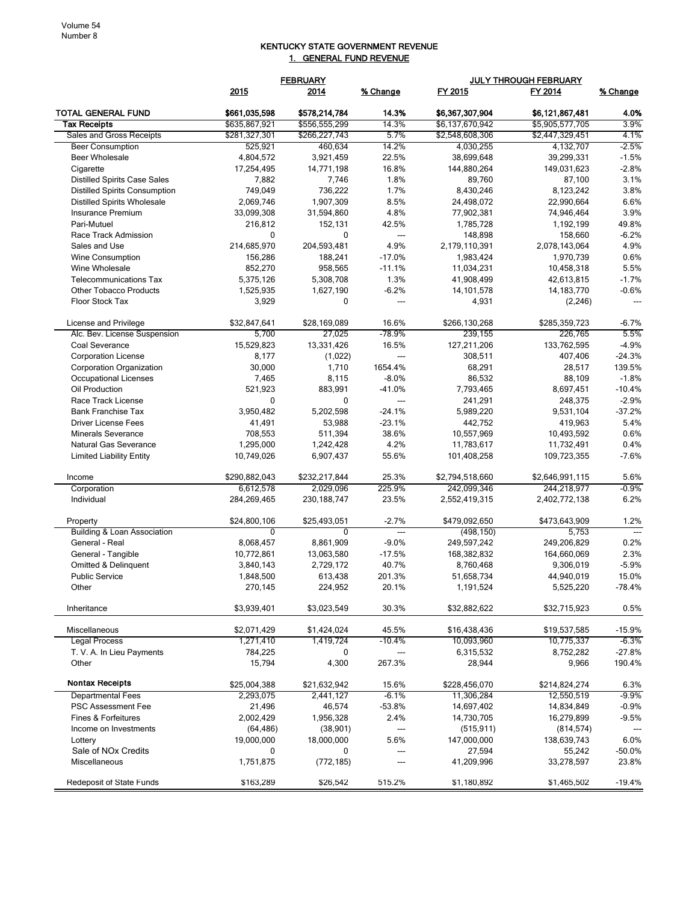## KENTUCKY STATE GOVERNMENT REVENUE 1. GENERAL FUND REVENUE

|                                      |                | <b>FEBRUARY</b> |                          | JULY THROUGH FEBRUARY |                 |                 |
|--------------------------------------|----------------|-----------------|--------------------------|-----------------------|-----------------|-----------------|
|                                      | 2015           | 2014            | % Change                 | FY 2015               | FY 2014         | <u>% Change</u> |
| TOTAL GENERAL FUND                   | \$661,035,598  | \$578,214,784   | 14.3%                    | \$6,367,307,904       | \$6,121,867,481 | 4.0%            |
| <b>Tax Receipts</b>                  | \$635,867,921  | \$556,555,299   | 14.3%                    | \$6,137,670,942       | \$5,905,577,705 | 3.9%            |
| Sales and Gross Receipts             | \$281,327,301  | \$266,227,743   | 5.7%                     | \$2.548.608.306       | \$2,447,329,451 | 4.1%            |
| <b>Beer Consumption</b>              | 525,921        | 460,634         | 14.2%                    | 4,030,255             | 4,132,707       | $-2.5%$         |
| <b>Beer Wholesale</b>                | 4,804,572      | 3,921,459       | 22.5%                    | 38,699,648            | 39,299,331      | $-1.5%$         |
| Cigarette                            | 17,254,495     | 14,771,198      | 16.8%                    | 144,880,264           | 149,031,623     | $-2.8%$         |
| <b>Distilled Spirits Case Sales</b>  | 7,882          | 7,746           | 1.8%                     | 89,760                | 87,100          | 3.1%            |
| <b>Distilled Spirits Consumption</b> | 749,049        | 736,222         | 1.7%                     | 8,430,246             | 8,123,242       | 3.8%            |
| <b>Distilled Spirits Wholesale</b>   | 2,069,746      | 1,907,309       | 8.5%                     | 24,498,072            | 22,990,664      | 6.6%            |
| Insurance Premium                    | 33,099,308     | 31,594,860      | 4.8%                     | 77,902,381            | 74,946,464      | 3.9%            |
| Pari-Mutuel                          | 216,812        | 152,131         | 42.5%                    | 1,785,728             | 1,192,199       | 49.8%           |
| Race Track Admission                 | $\Omega$       | 0               | $\overline{\phantom{a}}$ | 148,898               | 158,660         | $-6.2%$         |
| Sales and Use                        | 214,685,970    | 204,593,481     | 4.9%                     | 2,179,110,391         | 2,078,143,064   | 4.9%            |
| <b>Wine Consumption</b>              | 156,286        | 188,241         | $-17.0%$                 | 1,983,424             | 1,970,739       | 0.6%            |
| Wine Wholesale                       | 852,270        | 958,565         | $-11.1%$                 | 11,034,231            | 10,458,318      | 5.5%            |
| <b>Telecommunications Tax</b>        | 5,375,126      | 5,308,708       | 1.3%                     | 41,908,499            | 42,613,815      | $-1.7%$         |
| <b>Other Tobacco Products</b>        | 1,525,935      | 1,627,190       | $-6.2%$                  | 14,101,578            | 14, 183, 770    | $-0.6%$         |
| <b>Floor Stock Tax</b>               | 3,929          | 0               | $\overline{a}$           | 4,931                 | (2, 246)        | ---             |
|                                      |                |                 |                          |                       |                 |                 |
| License and Privilege                | \$32,847,641   | \$28,169,089    | 16.6%                    | \$266,130,268         | \$285.359.723   | -6.7%           |
| Alc. Bev. License Suspension         | 5,700          | 27.025          | -78.9%                   | 239,155               | 226,765         | 5.5%            |
| Coal Severance                       | 15,529,823     | 13,331,426      | 16.5%                    | 127,211,206           | 133,762,595     | $-4.9%$         |
| <b>Corporation License</b>           | 8,177          | (1,022)         | ---                      | 308,511               | 407,406         | $-24.3%$        |
| <b>Corporation Organization</b>      | 30,000         | 1,710           | 1654.4%                  | 68,291                | 28,517          | 139.5%          |
| Occupational Licenses                | 7,465          | 8,115           | $-8.0%$                  | 86,532                | 88,109          | $-1.8%$         |
| Oil Production                       | 521,923        | 883,991         | $-41.0%$                 | 7,793,465             | 8,697,451       | $-10.4%$        |
| Race Track License                   | $\Omega$       | 0               | ---                      | 241,291               | 248,375         | $-2.9%$         |
| <b>Bank Franchise Tax</b>            | 3,950,482      | 5,202,598       | $-24.1%$                 | 5,989,220             | 9,531,104       | $-37.2%$        |
| <b>Driver License Fees</b>           | 41,491         | 53,988          | $-23.1%$                 | 442,752               | 419,963         | 5.4%            |
| <b>Minerals Severance</b>            | 708,553        | 511,394         | 38.6%                    | 10,557,969            | 10,493,592      | 0.6%            |
| Natural Gas Severance                | 1,295,000      | 1,242,428       | 4.2%                     | 11,783,617            | 11,732,491      | 0.4%            |
| <b>Limited Liability Entity</b>      | 10,749,026     | 6,907,437       | 55.6%                    | 101,408,258           | 109,723,355     | $-7.6%$         |
| Income                               | \$290,882,043  | \$232,217,844   | 25.3%                    | \$2,794,518,660       | \$2,646,991,115 | 5.6%            |
| Corporation                          | 6,612,578      | 2,029,096       | 225.9%                   | 242,099,346           | 244,218,977     | -0.9%           |
| Individual                           | 284,269,465    | 230, 188, 747   | 23.5%                    | 2,552,419,315         | 2,402,772,138   | 6.2%            |
| Property                             | \$24,800,106   | \$25,493,051    | $-2.7%$                  | \$479,092,650         | \$473,643,909   | 1.2%            |
| Building & Loan Association          | $\overline{0}$ | $\overline{0}$  | ---                      | (498, 150)            | 5,753           |                 |
| General - Real                       | 8,068,457      | 8,861,909       | $-9.0%$                  | 249,597,242           | 249,206,829     | 0.2%            |
| General - Tangible                   | 10,772,861     | 13,063,580      | $-17.5%$                 | 168,382,832           | 164,660,069     | 2.3%            |
| <b>Omitted &amp; Delinquent</b>      | 3,840,143      | 2,729,172       | 40.7%                    | 8,760,468             | 9,306,019       | $-5.9%$         |
| <b>Public Service</b>                | 1,848,500      | 613,438         | 201.3%                   | 51,658,734            | 44,940,019      | 15.0%           |
| Other                                | 270,145        | 224,952         | 20.1%                    | 1,191,524             | 5,525,220       | $-78.4%$        |
| Inheritance                          | \$3,939,401    | \$3,023,549     | 30.3%                    | \$32,882,622          | \$32,715,923    | 0.5%            |
| Miscellaneous                        | \$2,071,429    | \$1,424,024     | 45.5%                    | \$16,438,436          | \$19,537,585    | $-15.9%$        |
| <b>Legal Process</b>                 | 1,271,410      | 1,419,724       | $-10.4%$                 | 10,093,960            | 10,775,337      | $-6.3%$         |
| T. V. A. In Lieu Payments            | 784,225        | 0               |                          | 6,315,532             | 8,752,282       | -27.8%          |
| Other                                | 15,794         | 4,300           | 267.3%                   | 28,944                | 9,966           | 190.4%          |
| <b>Nontax Receipts</b>               | \$25,004,388   | \$21,632,942    | 15.6%                    | \$228,456,070         | \$214,824,274   | 6.3%            |
| <b>Departmental Fees</b>             | 2,293,075      | 2,441,127       | $-6.1%$                  | 11,306,284            | 12,550,519      | -9.9%           |
| PSC Assessment Fee                   | 21,496         | 46,574          | $-53.8%$                 | 14,697,402            | 14,834,849      | $-0.9%$         |
| Fines & Forfeitures                  | 2,002,429      | 1,956,328       | 2.4%                     | 14,730,705            | 16,279,899      | -9.5%           |
| Income on Investments                | (64, 486)      | (38, 901)       | ---                      | (515, 911)            | (814, 574)      | ---             |
| Lottery                              | 19,000,000     | 18,000,000      | 5.6%                     | 147,000,000           | 138,639,743     | 6.0%            |
| Sale of NO <sub>x</sub> Credits      | 0              | 0               |                          | 27,594                | 55,242          | $-50.0\%$       |
| Miscellaneous                        | 1,751,875      | (772, 185)      |                          | 41,209,996            | 33,278,597      | 23.8%           |
| Redeposit of State Funds             | \$163,289      | \$26,542        | 515.2%                   | \$1,180,892           | \$1,465,502     | $-19.4%$        |